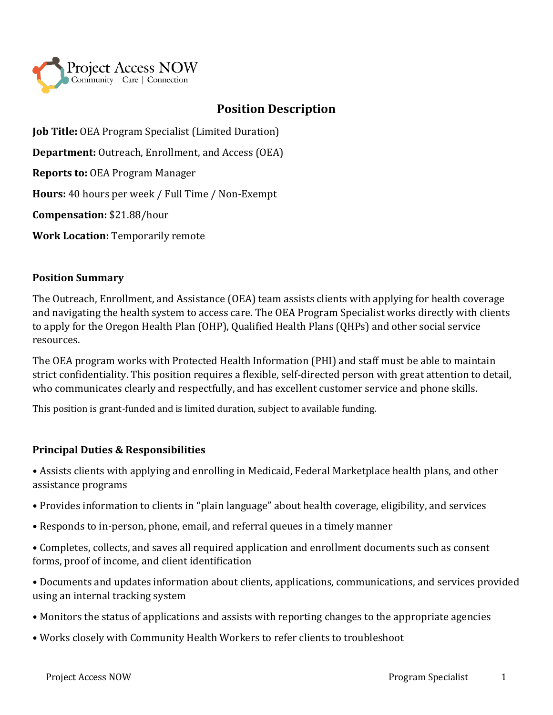

# **Position Description**

**Job Title:** OEA Program Specialist (Limited Duration)

**Department:** Outreach, Enrollment, and Access (OEA)

**Reports to:** OEA Program Manager

**Hours:** 40 hours per week / Full Time / Non-Exempt

**Compensation:** \$21.88/hour

**Work Location:** Temporarily remote

#### **Position Summary**

The Outreach, Enrollment, and Assistance (OEA) team assists clients with applying for health coverage and navigating the health system to access care. The OEA Program Specialist works directly with clients to apply for the Oregon Health Plan (OHP), Qualified Health Plans (QHPs) and other social service resources.

The OEA program works with Protected Health Information (PHI) and staff must be able to maintain strict confidentiality. This position requires a flexible, self-directed person with great attention to detail, who communicates clearly and respectfully, and has excellent customer service and phone skills.

This position is grant-funded and is limited duration, subject to available funding.

### **Principal Duties & Responsibilities**

• Assists clients with applying and enrolling in Medicaid, Federal Marketplace health plans, and other assistance programs

- Provides information to clients in "plain language" about health coverage, eligibility, and services
- Responds to in-person, phone, email, and referral queues in a timely manner

• Completes, collects, and saves all required application and enrollment documents such as consent forms, proof of income, and client identification

• Documents and updates information about clients, applications, communications, and services provided using an internal tracking system

- Monitors the status of applications and assists with reporting changes to the appropriate agencies
- Works closely with Community Health Workers to refer clients to troubleshoot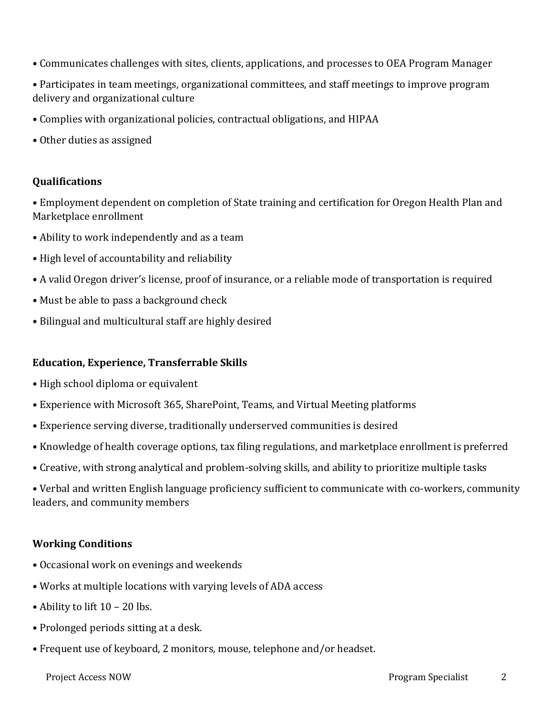- Communicates challenges with sites, clients, applications, and processes to OEA Program Manager
- Participates in team meetings, organizational committees, and staff meetings to improve program delivery and organizational culture
- Complies with organizational policies, contractual obligations, and HIPAA
- Other duties as assigned

#### **Qualifications**

• Employment dependent on completion of State training and certification for Oregon Health Plan and Marketplace enrollment

- Ability to work independently and as a team
- High level of accountability and reliability
- A valid Oregon driver's license, proof of insurance, or a reliable mode of transportation is required
- Must be able to pass a background check
- Bilingual and multicultural staff are highly desired

#### **Education, Experience, Transferrable Skills**

- High school diploma or equivalent
- Experience with Microsoft 365, SharePoint, Teams, and Virtual Meeting platforms
- Experience serving diverse, traditionally underserved communities is desired
- Knowledge of health coverage options, tax filing regulations, and marketplace enrollment is preferred
- Creative, with strong analytical and problem-solving skills, and ability to prioritize multiple tasks

• Verbal and written English language proficiency sufficient to communicate with co-workers, community leaders, and community members

### **Working Conditions**

- Occasional work on evenings and weekends
- Works at multiple locations with varying levels of ADA access
- Ability to lift 10 20 lbs.
- Prolonged periods sitting at a desk.
- Frequent use of keyboard, 2 monitors, mouse, telephone and/or headset.